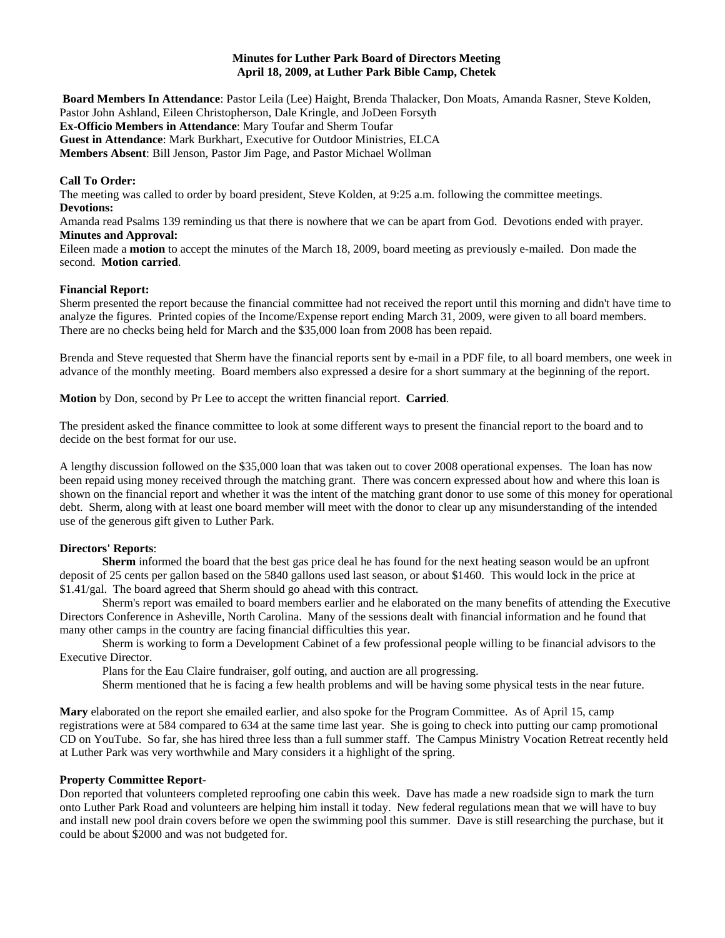### **Minutes for Luther Park Board of Directors Meeting April 18, 2009, at Luther Park Bible Camp, Chetek**

**Board Members In Attendance**: Pastor Leila (Lee) Haight, Brenda Thalacker, Don Moats, Amanda Rasner, Steve Kolden, Pastor John Ashland, Eileen Christopherson, Dale Kringle, and JoDeen Forsyth **Ex-Officio Members in Attendance**: Mary Toufar and Sherm Toufar **Guest in Attendance**: Mark Burkhart, Executive for Outdoor Ministries, ELCA **Members Absent**: Bill Jenson, Pastor Jim Page, and Pastor Michael Wollman

## **Call To Order:**

The meeting was called to order by board president, Steve Kolden, at 9:25 a.m. following the committee meetings. **Devotions:** 

Amanda read Psalms 139 reminding us that there is nowhere that we can be apart from God. Devotions ended with prayer. **Minutes and Approval:** 

Eileen made a **motion** to accept the minutes of the March 18, 2009, board meeting as previously e-mailed. Don made the second. **Motion carried**.

## **Financial Report:**

Sherm presented the report because the financial committee had not received the report until this morning and didn't have time to analyze the figures. Printed copies of the Income/Expense report ending March 31, 2009, were given to all board members. There are no checks being held for March and the \$35,000 loan from 2008 has been repaid.

Brenda and Steve requested that Sherm have the financial reports sent by e-mail in a PDF file, to all board members, one week in advance of the monthly meeting. Board members also expressed a desire for a short summary at the beginning of the report.

**Motion** by Don, second by Pr Lee to accept the written financial report. **Carried**.

The president asked the finance committee to look at some different ways to present the financial report to the board and to decide on the best format for our use.

A lengthy discussion followed on the \$35,000 loan that was taken out to cover 2008 operational expenses. The loan has now been repaid using money received through the matching grant. There was concern expressed about how and where this loan is shown on the financial report and whether it was the intent of the matching grant donor to use some of this money for operational debt. Sherm, along with at least one board member will meet with the donor to clear up any misunderstanding of the intended use of the generous gift given to Luther Park.

## **Directors' Reports**:

**Sherm** informed the board that the best gas price deal he has found for the next heating season would be an upfront deposit of 25 cents per gallon based on the 5840 gallons used last season, or about \$1460. This would lock in the price at \$1.41/gal. The board agreed that Sherm should go ahead with this contract.

Sherm's report was emailed to board members earlier and he elaborated on the many benefits of attending the Executive Directors Conference in Asheville, North Carolina. Many of the sessions dealt with financial information and he found that many other camps in the country are facing financial difficulties this year.

Sherm is working to form a Development Cabinet of a few professional people willing to be financial advisors to the Executive Director.

Plans for the Eau Claire fundraiser, golf outing, and auction are all progressing.

Sherm mentioned that he is facing a few health problems and will be having some physical tests in the near future.

**Mary** elaborated on the report she emailed earlier, and also spoke for the Program Committee. As of April 15, camp registrations were at 584 compared to 634 at the same time last year. She is going to check into putting our camp promotional CD on YouTube. So far, she has hired three less than a full summer staff. The Campus Ministry Vocation Retreat recently held at Luther Park was very worthwhile and Mary considers it a highlight of the spring.

### **Property Committee Report**-

Don reported that volunteers completed reproofing one cabin this week. Dave has made a new roadside sign to mark the turn onto Luther Park Road and volunteers are helping him install it today. New federal regulations mean that we will have to buy and install new pool drain covers before we open the swimming pool this summer. Dave is still researching the purchase, but it could be about \$2000 and was not budgeted for.